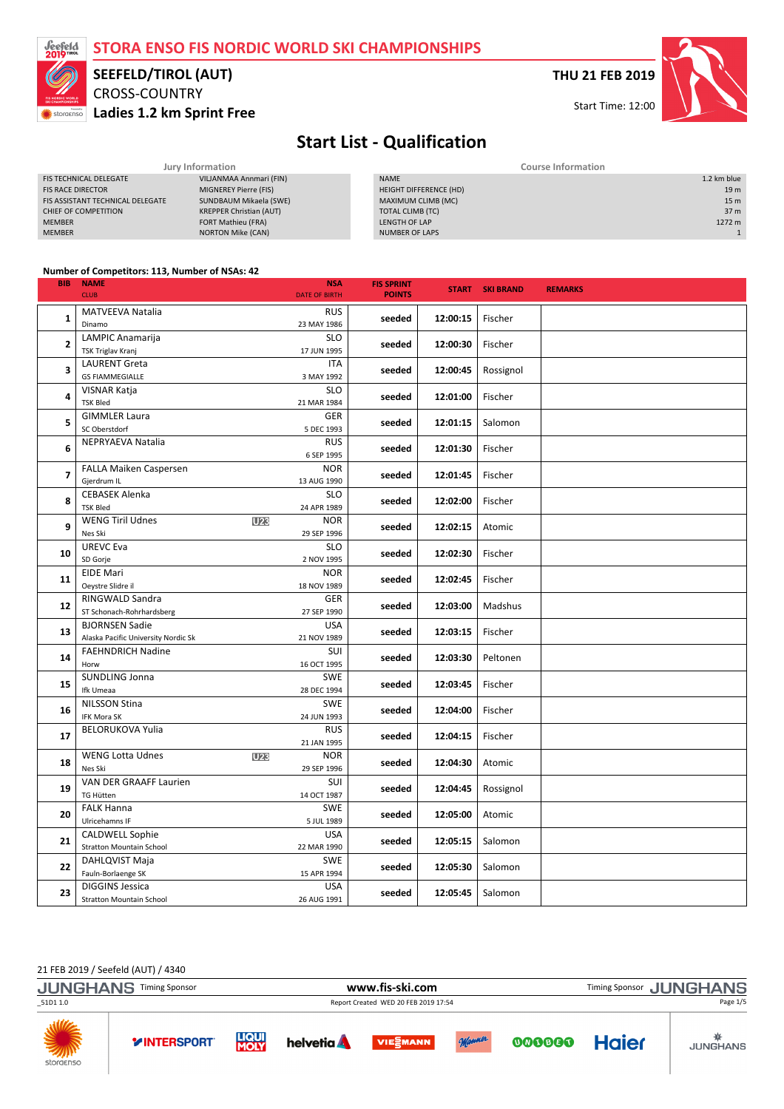

# CROSS-COUNTRY SEEFELD/TIROL (AUT)

Ladies 1.2 km Sprint Free

THU 21 FEB 2019

Start Time: 12:00

## Start List - Qualification

| Jury Information                 |                                |  | <b>Course Information</b> |                 |  |
|----------------------------------|--------------------------------|--|---------------------------|-----------------|--|
| <b>FIS TECHNICAL DELEGATE</b>    | VILJANMAA Annmari (FIN)        |  | <b>NAME</b>               | 1.2 km blue     |  |
| <b>FIS RACE DIRECTOR</b>         | MIGNEREY Pierre (FIS)          |  | HEIGHT DIFFERENCE (HD)    | 19 <sub>m</sub> |  |
| FIS ASSISTANT TECHNICAL DELEGATE | SUNDBAUM Mikaela (SWE)         |  | MAXIMUM CLIMB (MC)        | 15 <sub>m</sub> |  |
| CHIEF OF COMPETITION             | <b>KREPPER Christian (AUT)</b> |  | TOTAL CLIMB (TC)          | 37 m            |  |
| <b>MEMBER</b>                    | FORT Mathieu (FRA)             |  | LENGTH OF LAP             | 1272 m          |  |
| <b>MEMBER</b>                    | <b>NORTON Mike (CAN)</b>       |  | <b>NUMBER OF LAPS</b>     |                 |  |

#### Number of Competitors: 113, Number of NSAs: 42

| <b>BIB</b>   | <b>NAME</b>                                                  | <b>NSA</b>                | <b>FIS SPRINT</b> |          | <b>START SKI BRAND</b> | <b>REMARKS</b> |
|--------------|--------------------------------------------------------------|---------------------------|-------------------|----------|------------------------|----------------|
|              | <b>CLUB</b>                                                  | <b>DATE OF BIRTH</b>      | <b>POINTS</b>     |          |                        |                |
| 1            | MATVEEVA Natalia                                             | <b>RUS</b>                | seeded            | 12:00:15 | Fischer                |                |
|              | Dinamo                                                       | 23 MAY 1986               |                   |          |                        |                |
| $\mathbf{z}$ | LAMPIC Anamarija                                             | <b>SLO</b>                | seeded            | 12:00:30 | Fischer                |                |
|              | <b>TSK Triglav Kranj</b>                                     | 17 JUN 1995               |                   |          |                        |                |
| 3            | <b>LAURENT Greta</b>                                         | <b>ITA</b>                | seeded            | 12:00:45 | Rossignol              |                |
|              | <b>GS FIAMMEGIALLE</b>                                       | 3 MAY 1992                |                   |          |                        |                |
| 4            | <b>VISNAR Katja</b><br><b>TSK Bled</b>                       | <b>SLO</b><br>21 MAR 1984 | seeded            | 12:01:00 | Fischer                |                |
|              | <b>GIMMLER Laura</b>                                         | <b>GER</b>                |                   |          |                        |                |
| 5            | SC Oberstdorf                                                | 5 DEC 1993                | seeded            | 12:01:15 | Salomon                |                |
|              | NEPRYAEVA Natalia                                            | <b>RUS</b>                |                   |          |                        |                |
| 6            |                                                              | 6 SEP 1995                | seeded            | 12:01:30 | Fischer                |                |
|              | FALLA Maiken Caspersen                                       | <b>NOR</b>                |                   |          |                        |                |
| 7            | Gjerdrum IL                                                  | 13 AUG 1990               | seeded            | 12:01:45 | Fischer                |                |
|              | <b>CEBASEK Alenka</b>                                        | <b>SLO</b>                |                   |          |                        |                |
| 8            | <b>TSK Bled</b>                                              | 24 APR 1989               | seeded            | 12:02:00 | Fischer                |                |
| 9            | <b>WENG Tiril Udnes</b>                                      | <b>NOR</b><br>U23         |                   | 12:02:15 | Atomic                 |                |
|              | Nes Ski                                                      | 29 SEP 1996               | seeded            |          |                        |                |
| 10           | <b>UREVC Eva</b>                                             | <b>SLO</b>                | seeded            | 12:02:30 | Fischer                |                |
|              | SD Gorje                                                     | 2 NOV 1995                |                   |          |                        |                |
| 11           | <b>EIDE Mari</b>                                             | <b>NOR</b>                | seeded            | 12:02:45 | Fischer                |                |
|              | Oeystre Slidre il                                            | 18 NOV 1989               |                   |          |                        |                |
| 12           | RINGWALD Sandra                                              | <b>GER</b>                | seeded            | 12:03:00 | Madshus                |                |
|              | ST Schonach-Rohrhardsberg                                    | 27 SEP 1990               |                   |          |                        |                |
| 13           | <b>BJORNSEN Sadie</b><br>Alaska Pacific University Nordic Sk | <b>USA</b><br>21 NOV 1989 | seeded            | 12:03:15 | Fischer                |                |
|              | <b>FAEHNDRICH Nadine</b>                                     | SUI                       |                   |          |                        |                |
| 14           | Horw                                                         | 16 OCT 1995               | seeded            | 12:03:30 | Peltonen               |                |
|              | SUNDLING Jonna                                               | <b>SWE</b>                |                   |          |                        |                |
| 15           | Ifk Umeaa                                                    | 28 DEC 1994               | seeded            | 12:03:45 | Fischer                |                |
|              | <b>NILSSON Stina</b>                                         | <b>SWE</b>                |                   |          |                        |                |
| 16           | <b>IFK Mora SK</b>                                           | 24 JUN 1993               | seeded            | 12:04:00 | Fischer                |                |
|              | <b>BELORUKOVA Yulia</b>                                      | <b>RUS</b>                |                   |          |                        |                |
| 17           |                                                              | 21 JAN 1995               | seeded            | 12:04:15 | Fischer                |                |
| 18           | <b>WENG Lotta Udnes</b>                                      | U23<br><b>NOR</b>         | seeded            | 12:04:30 | Atomic                 |                |
|              | Nes Ski                                                      | 29 SEP 1996               |                   |          |                        |                |
| 19           | VAN DER GRAAFF Laurien                                       | SUI                       | seeded            | 12:04:45 | Rossignol              |                |
|              | <b>TG Hütten</b>                                             | 14 OCT 1987               |                   |          |                        |                |
| 20           | <b>FALK Hanna</b>                                            | <b>SWE</b>                | seeded            | 12:05:00 | Atomic                 |                |
|              | Ulricehamns IF                                               | 5 JUL 1989                |                   |          |                        |                |
| 21           | <b>CALDWELL Sophie</b>                                       | <b>USA</b>                | seeded            | 12:05:15 | Salomon                |                |
|              | <b>Stratton Mountain School</b>                              | 22 MAR 1990               |                   |          |                        |                |
| 22           | DAHLQVIST Maja                                               | <b>SWE</b>                | seeded            | 12:05:30 | Salomon                |                |
|              | Fauln-Borlaenge SK<br><b>DIGGINS Jessica</b>                 | 15 APR 1994<br><b>USA</b> |                   |          |                        |                |
| 23           | <b>Stratton Mountain School</b>                              | 26 AUG 1991               | seeded            | 12:05:45 | Salomon                |                |

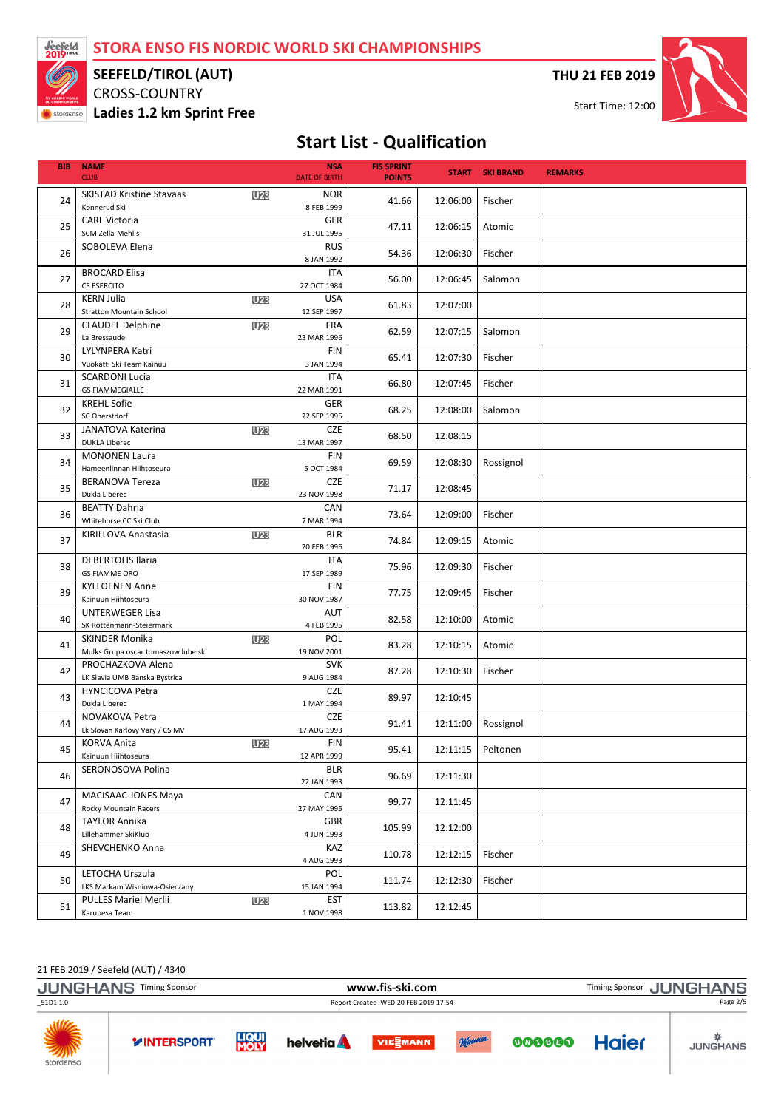

### SEEFELD/TIROL (AUT)

CROSS-COUNTRY Ladies 1.2 km Sprint Free THU 21 FEB 2019

Start Time: 12:00



# Start List - Qualification

| <b>BIB</b> | <b>NAME</b><br><b>CLUB</b>                                                 |            | <b>NSA</b><br><b>DATE OF BIRTH</b>     | <b>FIS SPRINT</b><br><b>POINTS</b> |                     | <b>START SKI BRAND</b> | <b>REMARKS</b> |
|------------|----------------------------------------------------------------------------|------------|----------------------------------------|------------------------------------|---------------------|------------------------|----------------|
| 24         | <b>SKISTAD Kristine Stavaas</b><br>Konnerud Ski                            | <b>U23</b> | <b>NOR</b><br>8 FEB 1999               | 41.66                              | 12:06:00            | Fischer                |                |
| 25         | <b>CARL Victoria</b><br>SCM Zella-Mehlis                                   |            | <b>GER</b><br>31 JUL 1995              | 47.11                              | 12:06:15            | Atomic                 |                |
| 26         | SOBOLEVA Elena                                                             |            | <b>RUS</b><br>8 JAN 1992               | 54.36                              | 12:06:30            | Fischer                |                |
| 27         | <b>BROCARD Elisa</b><br><b>CS ESERCITO</b>                                 |            | <b>ITA</b><br>27 OCT 1984              | 56.00                              | 12:06:45            | Salomon                |                |
| 28         | <b>KERN Julia</b><br><b>Stratton Mountain School</b>                       | <b>U23</b> | <b>USA</b><br>12 SEP 1997              | 61.83                              | 12:07:00            |                        |                |
| 29         | <b>CLAUDEL Delphine</b><br>La Bressaude                                    | <b>U23</b> | <b>FRA</b><br>23 MAR 1996              | 62.59                              | 12:07:15            | Salomon                |                |
| 30         | LYLYNPERA Katri<br>Vuokatti Ski Team Kainuu                                |            | <b>FIN</b><br>3 JAN 1994               | 65.41                              | 12:07:30            | Fischer                |                |
| 31         | <b>SCARDONI Lucia</b><br><b>GS FIAMMEGIALLE</b>                            |            | ITA<br>22 MAR 1991                     | 66.80                              | 12:07:45            | Fischer                |                |
| 32         | <b>KREHL Sofie</b><br>SC Oberstdorf                                        |            | <b>GER</b><br>22 SEP 1995              | 68.25                              | 12:08:00            | Salomon                |                |
| 33         | JANATOVA Katerina<br><b>DUKLA Liberec</b>                                  | <b>U23</b> | <b>CZE</b><br>13 MAR 1997              | 68.50                              | 12:08:15            |                        |                |
| 34         | <b>MONONEN Laura</b><br>Hameenlinnan Hiihtoseura<br><b>BERANOVA Tereza</b> |            | <b>FIN</b><br>5 OCT 1984<br><b>CZE</b> | 69.59                              | 12:08:30            | Rossignol              |                |
| 35         | Dukla Liberec<br><b>BEATTY Dahria</b>                                      | <b>U23</b> | 23 NOV 1998<br>CAN                     | 71.17                              | 12:08:45            |                        |                |
| 36         | Whitehorse CC Ski Club<br>KIRILLOVA Anastasia                              | <b>U23</b> | 7 MAR 1994<br><b>BLR</b>               | 73.64                              | 12:09:00            | Fischer                |                |
| 37         | <b>DEBERTOLIS Ilaria</b>                                                   |            | 20 FEB 1996<br>ITA                     | 74.84                              | 12:09:15            | Atomic                 |                |
| 38         | <b>GS FIAMME ORO</b><br><b>KYLLOENEN Anne</b>                              |            | 17 SEP 1989<br><b>FIN</b>              | 75.96                              | 12:09:30            | Fischer                |                |
| 39         | Kainuun Hiihtoseura<br><b>UNTERWEGER Lisa</b>                              |            | 30 NOV 1987<br>AUT                     | 77.75                              | 12:09:45            | Fischer                |                |
| 40         | SK Rottenmann-Steiermark<br><b>SKINDER Monika</b>                          | <b>U23</b> | 4 FEB 1995<br>POL                      | 82.58                              | 12:10:00            | Atomic                 |                |
| 41         | Mulks Grupa oscar tomaszow lubelski<br>PROCHAZKOVA Alena                   |            | 19 NOV 2001<br><b>SVK</b>              | 83.28                              | 12:10:15            | Atomic                 |                |
| 42         | LK Slavia UMB Banska Bystrica<br><b>HYNCICOVA Petra</b>                    |            | 9 AUG 1984<br><b>CZE</b>               | 87.28                              | 12:10:30            | Fischer                |                |
| 43         | Dukla Liberec<br>NOVAKOVA Petra                                            |            | 1 MAY 1994<br><b>CZE</b>               | 89.97                              | 12:10:45            |                        |                |
| 44         | Lk Slovan Karlovy Vary / CS MV<br><b>KORVA Anita</b>                       | <b>U23</b> | 17 AUG 1993<br><b>FIN</b>              | 91.41                              | 12:11:00            | Rossignol              |                |
| 45         | Kainuun Hiihtoseura<br>SERONOSOVA Polina                                   |            | 12 APR 1999<br><b>BLR</b>              | 95.41                              | 12:11:15   Peltonen |                        |                |
| 46         | <b>MACISAAC-JONES Maya</b>                                                 |            | 22 JAN 1993<br>CAN                     | 96.69                              | 12:11:30            |                        |                |
| 47         | <b>Rocky Mountain Racers</b><br><b>TAYLOR Annika</b>                       |            | 27 MAY 1995<br><b>GBR</b>              | 99.77                              | 12:11:45            |                        |                |
| 48         | Lillehammer SkiKlub<br>SHEVCHENKO Anna                                     |            | 4 JUN 1993<br>KAZ                      | 105.99                             | 12:12:00            |                        |                |
| 49         | LETOCHA Urszula                                                            |            | 4 AUG 1993<br>POL                      | 110.78                             | 12:12:15            | Fischer                |                |
| 50         | LKS Markam Wisniowa-Osieczany<br><b>PULLES Mariel Merlii</b>               | <b>U23</b> | 15 JAN 1994<br>EST                     | 111.74                             | 12:12:30            | Fischer                |                |
| 51         | Karupesa Team                                                              |            | 1 NOV 1998                             | 113.82                             | 12:12:45            |                        |                |

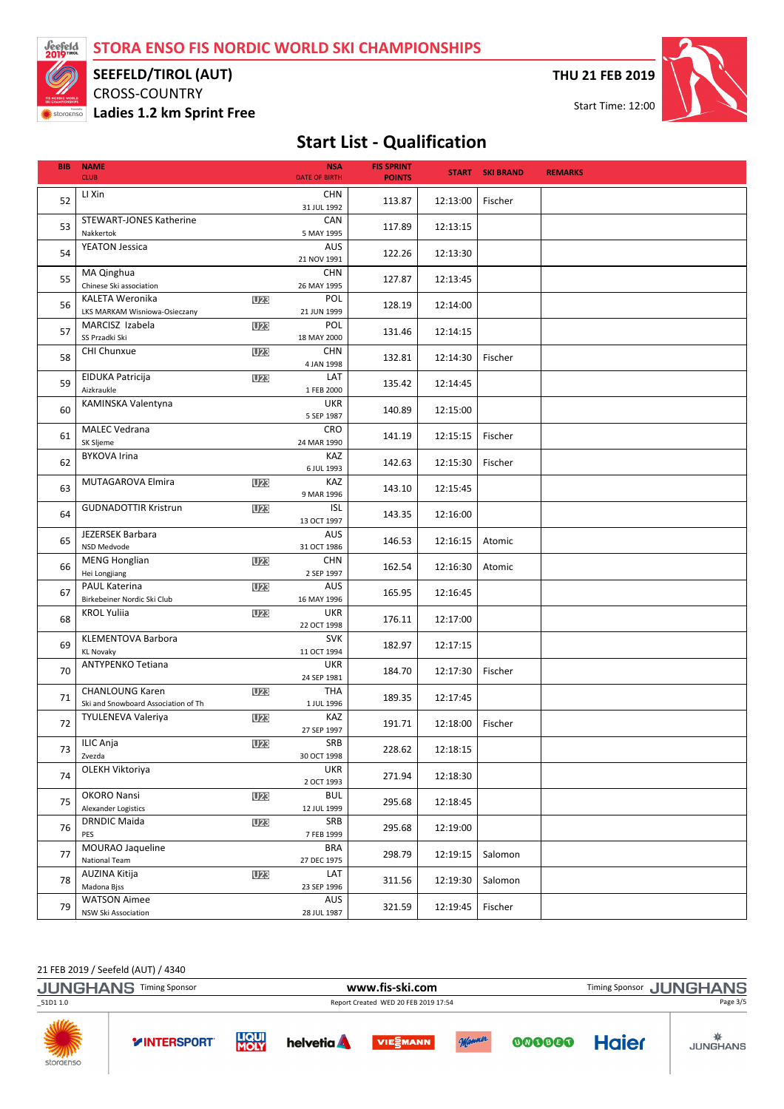

### SEEFELD/TIROL (AUT)

CROSS-COUNTRY Ladies 1.2 km Sprint Free THU 21 FEB 2019

Start Time: 12:00



## Start List - Qualification

| <b>BIB</b> | <b>NAME</b><br><b>CLUB</b>                                    |            | <b>NSA</b><br><b>DATE OF BIRTH</b> | <b>FIS SPRINT</b><br><b>POINTS</b> |          | <b>START SKI BRAND</b> | <b>REMARKS</b> |
|------------|---------------------------------------------------------------|------------|------------------------------------|------------------------------------|----------|------------------------|----------------|
| 52         | LI Xin                                                        |            | <b>CHN</b><br>31 JUL 1992          | 113.87                             | 12:13:00 | Fischer                |                |
| 53         | STEWART-JONES Katherine<br>Nakkertok                          |            | CAN<br>5 MAY 1995                  | 117.89                             | 12:13:15 |                        |                |
| 54         | <b>YEATON Jessica</b>                                         |            | <b>AUS</b><br>21 NOV 1991          | 122.26                             | 12:13:30 |                        |                |
| 55         | MA Qinghua<br>Chinese Ski association                         |            | <b>CHN</b><br>26 MAY 1995          | 127.87                             | 12:13:45 |                        |                |
| 56         | <b>KALETA Weronika</b><br>LKS MARKAM Wisniowa-Osieczany       | <b>U23</b> | POL<br>21 JUN 1999                 | 128.19                             | 12:14:00 |                        |                |
| 57         | MARCISZ Izabela<br>SS Przadki Ski                             | <b>U23</b> | POL<br>18 MAY 2000                 | 131.46                             | 12:14:15 |                        |                |
| 58         | CHI Chunxue                                                   | U23        | <b>CHN</b><br>4 JAN 1998           | 132.81                             | 12:14:30 | Fischer                |                |
| 59         | EIDUKA Patricija<br>Aizkraukle                                | <b>U23</b> | LAT<br>1 FEB 2000                  | 135.42                             | 12:14:45 |                        |                |
| 60         | KAMINSKA Valentyna                                            |            | <b>UKR</b><br>5 SEP 1987           | 140.89                             | 12:15:00 |                        |                |
| 61         | <b>MALEC Vedrana</b><br>SK Sljeme                             |            | <b>CRO</b><br>24 MAR 1990          | 141.19                             | 12:15:15 | Fischer                |                |
| 62         | <b>BYKOVA Irina</b>                                           |            | KAZ<br>6 JUL 1993                  | 142.63                             | 12:15:30 | Fischer                |                |
| 63         | MUTAGAROVA Elmira                                             | <b>U23</b> | KAZ<br>9 MAR 1996                  | 143.10                             | 12:15:45 |                        |                |
| 64         | <b>GUDNADOTTIR Kristrun</b>                                   | <b>U23</b> | <b>ISL</b><br>13 OCT 1997          | 143.35                             | 12:16:00 |                        |                |
| 65         | JEZERSEK Barbara<br>NSD Medvode                               |            | <b>AUS</b><br>31 OCT 1986          | 146.53                             | 12:16:15 | Atomic                 |                |
| 66         | <b>MENG Honglian</b><br>Hei Longjiang                         | <b>U23</b> | <b>CHN</b><br>2 SEP 1997           | 162.54                             | 12:16:30 | Atomic                 |                |
| 67         | <b>PAUL Katerina</b><br>Birkebeiner Nordic Ski Club           | <b>U23</b> | AUS<br>16 MAY 1996                 | 165.95                             | 12:16:45 |                        |                |
| 68         | <b>KROL Yuliia</b>                                            | <b>U23</b> | <b>UKR</b><br>22 OCT 1998          | 176.11                             | 12:17:00 |                        |                |
| 69         | KLEMENTOVA Barbora<br><b>KL Novaky</b>                        |            | <b>SVK</b><br>11 OCT 1994          | 182.97                             | 12:17:15 |                        |                |
| 70         | <b>ANTYPENKO Tetiana</b>                                      |            | <b>UKR</b><br>24 SEP 1981          | 184.70                             | 12:17:30 | Fischer                |                |
| 71         | <b>CHANLOUNG Karen</b><br>Ski and Snowboard Association of Th | U23        | <b>THA</b><br>1 JUL 1996           | 189.35                             | 12:17:45 |                        |                |
| 72         | TYULENEVA Valeriya                                            | <b>U23</b> | KAZ<br>27 SEP 1997                 | 191.71                             | 12:18:00 | Fischer                |                |
| 73         | ILIC Anja<br>Zvezda                                           | U23        | SRB<br>30 OCT 1998                 | 228.62                             | 12:18:15 |                        |                |
| 74         | OLEKH Viktoriya                                               |            | <b>UKR</b><br>2 OCT 1993           | 271.94                             | 12:18:30 |                        |                |
| 75         | OKORO Nansi<br>Alexander Logistics                            | <b>U23</b> | <b>BUL</b><br>12 JUL 1999          | 295.68                             | 12:18:45 |                        |                |
| 76         | <b>DRNDIC Maida</b><br>PES                                    | U23        | SRB<br>7 FEB 1999                  | 295.68                             | 12:19:00 |                        |                |
| 77         | MOURAO Jaqueline<br>National Team                             |            | <b>BRA</b><br>27 DEC 1975          | 298.79                             | 12:19:15 | Salomon                |                |
| 78         | AUZINA Kitija<br>Madona Bjss                                  | U23        | LAT<br>23 SEP 1996                 | 311.56                             | 12:19:30 | Salomon                |                |
| 79         | <b>WATSON Aimee</b><br>NSW Ski Association                    |            | AUS<br>28 JUL 1987                 | 321.59                             | 12:19:45 | Fischer                |                |

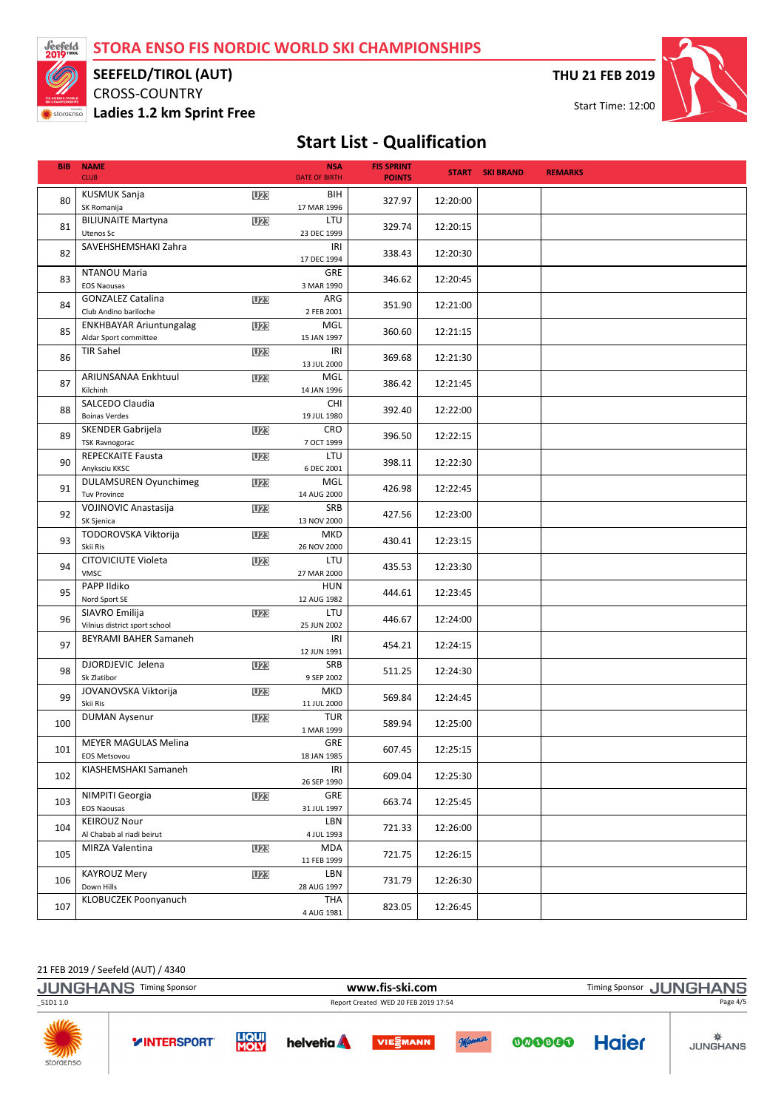

### SEEFELD/TIROL (AUT)

CROSS-COUNTRY Ladies 1.2 km Sprint Free THU 21 FEB 2019



### Start List - Qualification

| <b>BIB</b> | <b>NAME</b><br><b>CLUB</b>                              |                 | <b>NSA</b><br><b>DATE OF BIRTH</b> | <b>FIS SPRINT</b><br><b>POINTS</b> |          | <b>START SKI BRAND</b> | <b>REMARKS</b> |
|------------|---------------------------------------------------------|-----------------|------------------------------------|------------------------------------|----------|------------------------|----------------|
| 80         | <b>KUSMUK Sanja</b><br>SK Romanija                      | <b>U23</b>      | BIH<br>17 MAR 1996                 | 327.97                             | 12:20:00 |                        |                |
| 81         | <b>BILIUNAITE Martyna</b><br>Utenos Sc                  | U23             | LTU<br>23 DEC 1999                 | 329.74                             | 12:20:15 |                        |                |
| 82         | SAVEHSHEMSHAKI Zahra                                    |                 | IRI<br>17 DEC 1994                 | 338.43                             | 12:20:30 |                        |                |
| 83         | NTANOU Maria<br><b>EOS Naousas</b>                      |                 | GRE<br>3 MAR 1990                  | 346.62                             | 12:20:45 |                        |                |
| 84         | <b>GONZALEZ Catalina</b><br>Club Andino bariloche       | <b>U23</b>      | ARG<br>2 FEB 2001                  | 351.90                             | 12:21:00 |                        |                |
| 85         | <b>ENKHBAYAR Ariuntungalag</b><br>Aldar Sport committee | U23             | MGL<br>15 JAN 1997                 | 360.60                             | 12:21:15 |                        |                |
| 86         | <b>TIR Sahel</b>                                        | U23             | IRI<br>13 JUL 2000                 | 369.68                             | 12:21:30 |                        |                |
| 87         | ARIUNSANAA Enkhtuul<br>Kilchinh                         | <b>U23</b>      | MGL<br>14 JAN 1996                 | 386.42                             | 12:21:45 |                        |                |
| 88         | SALCEDO Claudia<br><b>Boinas Verdes</b>                 |                 | <b>CHI</b><br>19 JUL 1980          | 392.40                             | 12:22:00 |                        |                |
| 89         | <b>SKENDER Gabrijela</b><br><b>TSK Ravnogorac</b>       | <b>U23</b>      | <b>CRO</b><br>7 OCT 1999           | 396.50                             | 12:22:15 |                        |                |
| 90         | <b>REPECKAITE Fausta</b><br>Anyksciu KKSC               | <b>U23</b>      | LTU<br>6 DEC 2001                  | 398.11                             | 12:22:30 |                        |                |
| 91         | <b>DULAMSUREN Oyunchimeg</b><br><b>Tuv Province</b>     | <b>U23</b>      | MGL<br>14 AUG 2000                 | 426.98                             | 12:22:45 |                        |                |
| 92         | <b>VOJINOVIC Anastasija</b><br>SK Sjenica               | <b>U23</b>      | SRB<br>13 NOV 2000                 | 427.56                             | 12:23:00 |                        |                |
| 93         | TODOROVSKA Viktorija<br>Skii Ris                        | <b>U23</b>      | <b>MKD</b><br>26 NOV 2000          | 430.41                             | 12:23:15 |                        |                |
| 94         | CITOVICIUTE Violeta<br>VMSC                             | <b>U23</b>      | LTU<br>27 MAR 2000                 | 435.53                             | 12:23:30 |                        |                |
| 95         | PAPP Ildiko<br>Nord Sport SE                            |                 | <b>HUN</b><br>12 AUG 1982          | 444.61                             | 12:23:45 |                        |                |
| 96         | SIAVRO Emilija<br>Vilnius district sport school         | U23             | LTU<br>25 JUN 2002                 | 446.67                             | 12:24:00 |                        |                |
| 97         | BEYRAMI BAHER Samaneh                                   |                 | IRI<br>12 JUN 1991                 | 454.21                             | 12:24:15 |                        |                |
| 98         | DJORDJEVIC Jelena<br>Sk Zlatibor                        | <b>U23</b>      | SRB<br>9 SEP 2002                  | 511.25                             | 12:24:30 |                        |                |
| 99         | JOVANOVSKA Viktorija<br>Skii Ris                        | U23             | <b>MKD</b><br>11 JUL 2000          | 569.84                             | 12:24:45 |                        |                |
| 100        | <b>DUMAN Aysenur</b>                                    | <b>U23</b>      | <b>TUR</b><br>1 MAR 1999           | 589.94                             | 12:25:00 |                        |                |
| 101        | <b>MEYER MAGULAS Melina</b><br>EOS Metsovou             |                 | GRE<br>18 JAN 1985                 | 607.45                             | 12:25:15 |                        |                |
| 102        | KIASHEMSHAKI Samaneh                                    |                 | IRI<br>26 SEP 1990                 | 609.04                             | 12:25:30 |                        |                |
| 103        | NIMPITI Georgia<br><b>EOS Naousas</b>                   | <b>U23</b>      | GRE<br>31 JUL 1997                 | 663.74                             | 12:25:45 |                        |                |
| 104        | <b>KEIROUZ Nour</b><br>Al Chabab al riadi beirut        |                 | LBN<br>4 JUL 1993                  | 721.33                             | 12:26:00 |                        |                |
| 105        | <b>MIRZA Valentina</b>                                  | U <sub>23</sub> | MDA<br>11 FEB 1999                 | 721.75                             | 12:26:15 |                        |                |
| 106        | <b>KAYROUZ Mery</b><br>Down Hills                       | <b>U23</b>      | LBN<br>28 AUG 1997                 | 731.79                             | 12:26:30 |                        |                |
| 107        | KLOBUCZEK Poonyanuch                                    |                 | THA<br>4 AUG 1981                  | 823.05                             | 12:26:45 |                        |                |